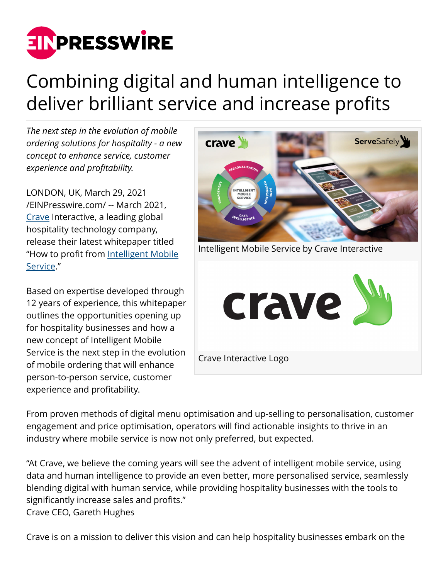

## Combining digital and human intelligence to deliver brilliant service and increase profits

*The next step in the evolution of mobile ordering solutions for hospitality - a new concept to enhance service, customer experience and profitability.* 

LONDON, UK, March 29, 2021 [/EINPresswire.com/](http://www.einpresswire.com) -- March 2021, [Crave](https://crave-emenu.com/) Interactive, a leading global hospitality technology company, release their latest whitepaper titled "How to profit from [Intelligent Mobile](https://landing.crave-emenu.com/mobile-ordering-white-paper/?utm_campaign=servesafely&utm_source=presswire&utm_medium=link&utm_content=pr&utm_term=) [Service.](https://landing.crave-emenu.com/mobile-ordering-white-paper/?utm_campaign=servesafely&utm_source=presswire&utm_medium=link&utm_content=pr&utm_term=)"

Based on expertise developed through 12 years of experience, this whitepaper outlines the opportunities opening up for hospitality businesses and how a new concept of Intelligent Mobile Service is the next step in the evolution of mobile ordering that will enhance person-to-person service, customer experience and profitability.



From proven methods of digital menu optimisation and up-selling to personalisation, customer engagement and price optimisation, operators will find actionable insights to thrive in an industry where mobile service is now not only preferred, but expected.

"At Crave, we believe the coming years will see the advent of intelligent mobile service, using data and human intelligence to provide an even better, more personalised service, seamlessly blending digital with human service, while providing hospitality businesses with the tools to significantly increase sales and profits." Crave CEO, Gareth Hughes

Crave is on a mission to deliver this vision and can help hospitality businesses embark on the